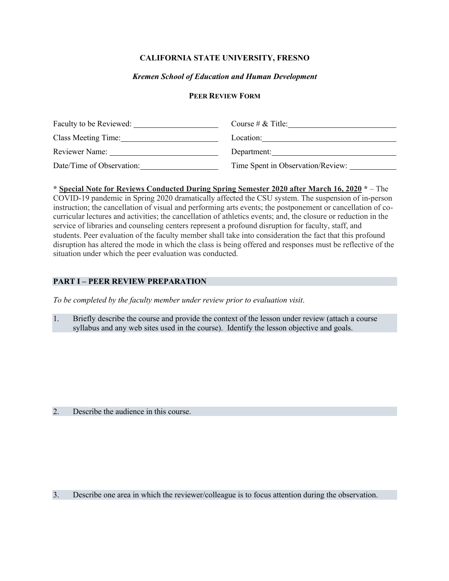### **CALIFORNIA STATE UNIVERSITY, FRESNO**

### *Kremen School of Education and Human Development*

#### **PEER REVIEW FORM**

| Faculty to be Reviewed:   | Course # $\&$ Title:              |
|---------------------------|-----------------------------------|
| Class Meeting Time:       | Location:                         |
| Reviewer Name:            | Department:                       |
| Date/Time of Observation: | Time Spent in Observation/Review: |

**\* Special Note for Reviews Conducted During Spring Semester 2020 after March 16, 2020 \*** – The COVID-19 pandemic in Spring 2020 dramatically affected the CSU system. The suspension of in-person instruction; the cancellation of visual and performing arts events; the postponement or cancellation of cocurricular lectures and activities; the cancellation of athletics events; and, the closure or reduction in the service of libraries and counseling centers represent a profound disruption for faculty, staff, and students. Peer evaluation of the faculty member shall take into consideration the fact that this profound disruption has altered the mode in which the class is being offered and responses must be reflective of the situation under which the peer evaluation was conducted.

# **PART I – PEER REVIEW PREPARATION**

*To be completed by the faculty member under review prior to evaluation visit*.

1. Briefly describe the course and provide the context of the lesson under review (attach a course syllabus and any web sites used in the course). Identify the lesson objective and goals.

2. Describe the audience in this course.

3. Describe one area in which the reviewer/colleague is to focus attention during the observation.